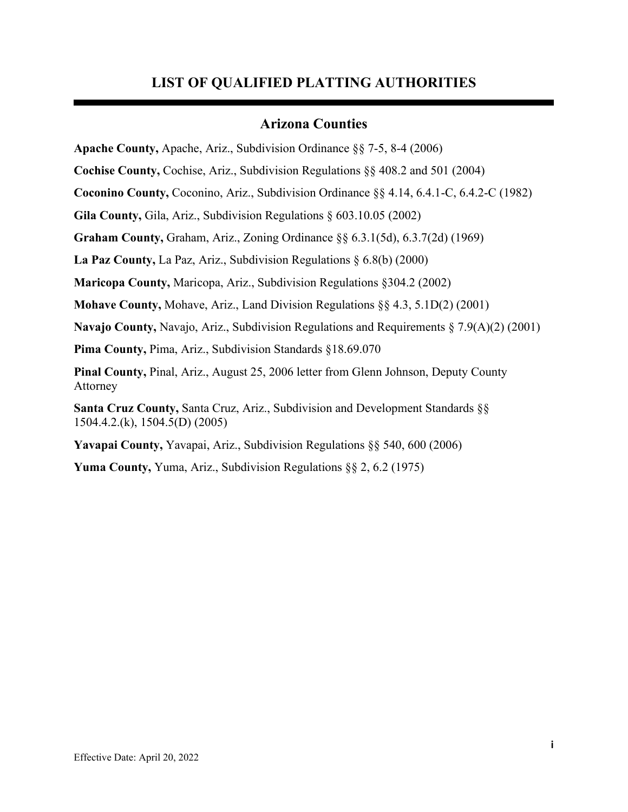## **LIST OF QUALIFIED PLATTING AUTHORITIES**

## **Arizona Counties**

**Apache County,** Apache, Ariz., Subdivision Ordinance §§ 7-5, 8-4 (2006)

**Cochise County,** Cochise, Ariz., Subdivision Regulations §§ 408.2 and 501 (2004)

**Coconino County,** Coconino, Ariz., Subdivision Ordinance §§ 4.14, 6.4.1-C, 6.4.2-C (1982)

**Gila County,** Gila, Ariz., Subdivision Regulations § 603.10.05 (2002)

**Graham County,** Graham, Ariz., Zoning Ordinance §§ 6.3.1(5d), 6.3.7(2d) (1969)

**La Paz County,** La Paz, Ariz., Subdivision Regulations § 6.8(b) (2000)

**Maricopa County,** Maricopa, Ariz., Subdivision Regulations §304.2 (2002)

**Mohave County,** Mohave, Ariz., Land Division Regulations §§ 4.3, 5.1D(2) (2001)

**Navajo County,** Navajo, Ariz., Subdivision Regulations and Requirements § 7.9(A)(2) (2001)

**Pima County,** Pima, Ariz., Subdivision Standards §18.69.070

**Pinal County,** Pinal, Ariz., August 25, 2006 letter from Glenn Johnson, Deputy County Attorney

**Santa Cruz County,** Santa Cruz, Ariz., Subdivision and Development Standards §§ 1504.4.2.(k), 1504.5(D) (2005)

**Yavapai County,** Yavapai, Ariz., Subdivision Regulations §§ 540, 600 (2006)

**Yuma County,** Yuma, Ariz., Subdivision Regulations §§ 2, 6.2 (1975)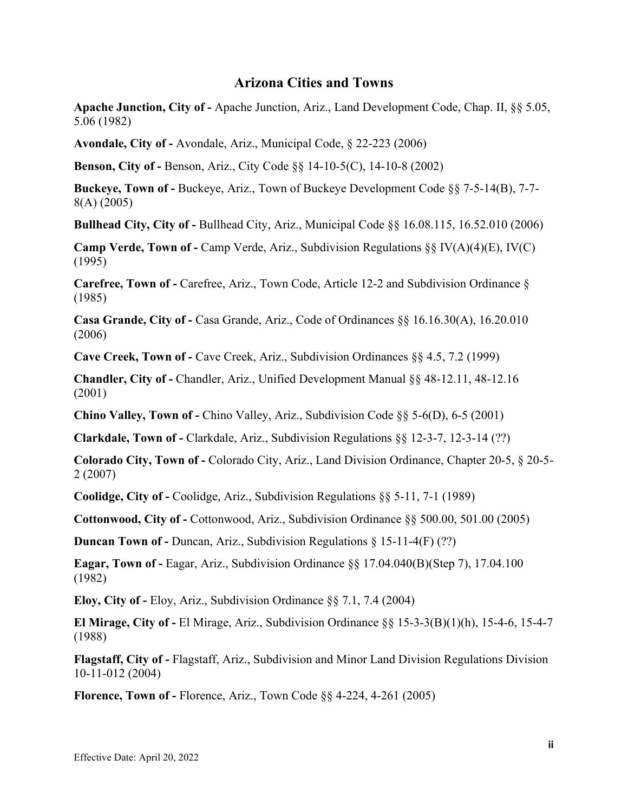## **Arizona Cities and Towns**

**Apache Junction, City of -** Apache Junction, Ariz., Land Development Code, Chap. II, §§ 5.05, 5.06 (1982)

**Avondale, City of -** Avondale, Ariz., Municipal Code, § 22-223 (2006)

**Benson, City of -** Benson, Ariz., City Code §§ 14-10-5(C), 14-10-8 (2002)

**Buckeye, Town of -** Buckeye, Ariz., Town of Buckeye Development Code §§ 7-5-14(B), 7-7- 8(A) (2005)

**Bullhead City, City of -** Bullhead City, Ariz., Municipal Code §§ 16.08.115, 16.52.010 (2006)

**Camp Verde, Town of -** Camp Verde, Ariz., Subdivision Regulations §§ IV(A)(4)(E), IV(C) (1995)

**Carefree, Town of -** Carefree, Ariz., Town Code, Article 12-2 and Subdivision Ordinance § (1985)

**Casa Grande, City of -** Casa Grande, Ariz., Code of Ordinances §§ 16.16.30(A), 16.20.010 (2006)

**Cave Creek, Town of -** Cave Creek, Ariz., Subdivision Ordinances §§ 4.5, 7.2 (1999)

**Chandler, City of -** Chandler, Ariz., Unified Development Manual §§ 48-12.11, 48-12.16 (2001)

**Chino Valley, Town of -** Chino Valley, Ariz., Subdivision Code §§ 5-6(D), 6-5 (2001)

**Clarkdale, Town of -** Clarkdale, Ariz., Subdivision Regulations §§ 12-3-7, 12-3-14 (??)

**Colorado City, Town of -** Colorado City, Ariz., Land Division Ordinance, Chapter 20-5, § 20-5- 2 (2007)

**Coolidge, City of -** Coolidge, Ariz., Subdivision Regulations §§ 5-11, 7-1 (1989)

**Cottonwood, City of -** Cottonwood, Ariz., Subdivision Ordinance §§ 500.00, 501.00 (2005)

**Duncan Town of -** Duncan, Ariz., Subdivision Regulations § 15-11-4(F) (??)

**Eagar, Town of -** Eagar, Ariz., Subdivision Ordinance §§ 17.04.040(B)(Step 7), 17.04.100 (1982)

**Eloy, City of -** Eloy, Ariz., Subdivision Ordinance §§ 7.1, 7.4 (2004)

**El Mirage, City of -** El Mirage, Ariz., Subdivision Ordinance §§ 15-3-3(B)(1)(h), 15-4-6, 15-4-7 (1988)

**Flagstaff, City of -** Flagstaff, Ariz., Subdivision and Minor Land Division Regulations Division 10-11-012 (2004)

**Florence, Town of -** Florence, Ariz., Town Code §§ 4-224, 4-261 (2005)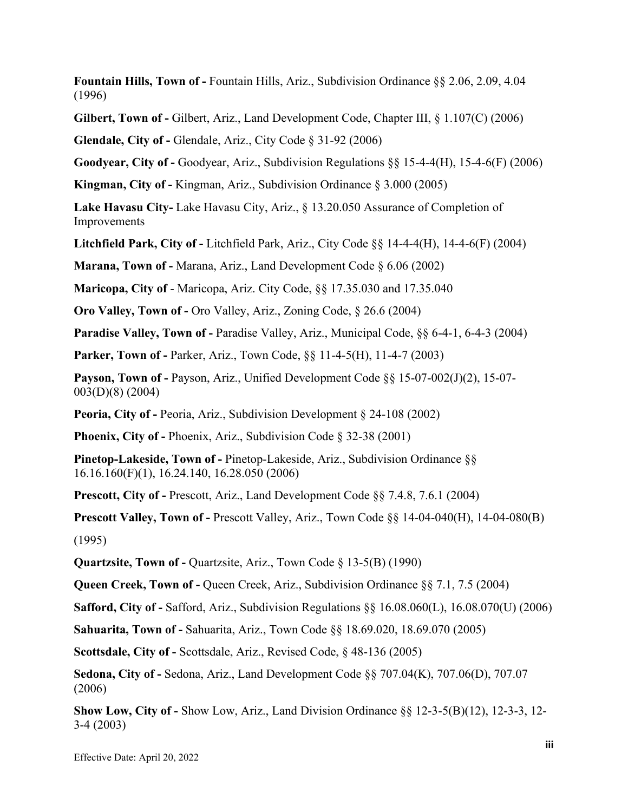**Fountain Hills, Town of -** Fountain Hills, Ariz., Subdivision Ordinance §§ 2.06, 2.09, 4.04 (1996)

**Gilbert, Town of -** Gilbert, Ariz., Land Development Code, Chapter III, § 1.107(C) (2006)

**Glendale, City of -** Glendale, Ariz., City Code § 31-92 (2006)

**Goodyear, City of -** Goodyear, Ariz., Subdivision Regulations §§ 15-4-4(H), 15-4-6(F) (2006)

**Kingman, City of -** Kingman, Ariz., Subdivision Ordinance § 3.000 (2005)

**Lake Havasu City-** Lake Havasu City, Ariz., § 13.20.050 Assurance of Completion of Improvements

**Litchfield Park, City of -** Litchfield Park, Ariz., City Code §§ 14-4-4(H), 14-4-6(F) (2004)

**Marana, Town of -** Marana, Ariz., Land Development Code § 6.06 (2002)

**Maricopa, City of** - Maricopa, Ariz. City Code, §§ 17.35.030 and 17.35.040

**Oro Valley, Town of -** Oro Valley, Ariz., Zoning Code, § 26.6 (2004)

**Paradise Valley, Town of -** Paradise Valley, Ariz., Municipal Code, §§ 6-4-1, 6-4-3 (2004)

**Parker, Town of -** Parker, Ariz., Town Code, §§ 11-4-5(H), 11-4-7 (2003)

**Payson, Town of -** Payson, Ariz., Unified Development Code §§ 15-07-002(J)(2), 15-07- 003(D)(8) (2004)

**Peoria, City of -** Peoria, Ariz., Subdivision Development § 24-108 (2002)

**Phoenix, City of -** Phoenix, Ariz., Subdivision Code § 32-38 (2001)

**Pinetop-Lakeside, Town of -** Pinetop-Lakeside, Ariz., Subdivision Ordinance §§ 16.16.160(F)(1), 16.24.140, 16.28.050 (2006)

**Prescott, City of -** Prescott, Ariz., Land Development Code §§ 7.4.8, 7.6.1 (2004)

**Prescott Valley, Town of -** Prescott Valley, Ariz., Town Code §§ 14-04-040(H), 14-04-080(B) (1995)

**Quartzsite, Town of -** Quartzsite, Ariz., Town Code § 13-5(B) (1990)

**Queen Creek, Town of -** Queen Creek, Ariz., Subdivision Ordinance §§ 7.1, 7.5 (2004)

**Safford, City of -** Safford, Ariz., Subdivision Regulations §§ 16.08.060(L), 16.08.070(U) (2006)

**Sahuarita, Town of -** Sahuarita, Ariz., Town Code §§ 18.69.020, 18.69.070 (2005)

**Scottsdale, City of -** Scottsdale, Ariz., Revised Code, § 48-136 (2005)

**Sedona, City of -** Sedona, Ariz., Land Development Code §§ 707.04(K), 707.06(D), 707.07 (2006)

**Show Low, City of -** Show Low, Ariz., Land Division Ordinance §§ 12-3-5(B)(12), 12-3-3, 12- 3-4 (2003)